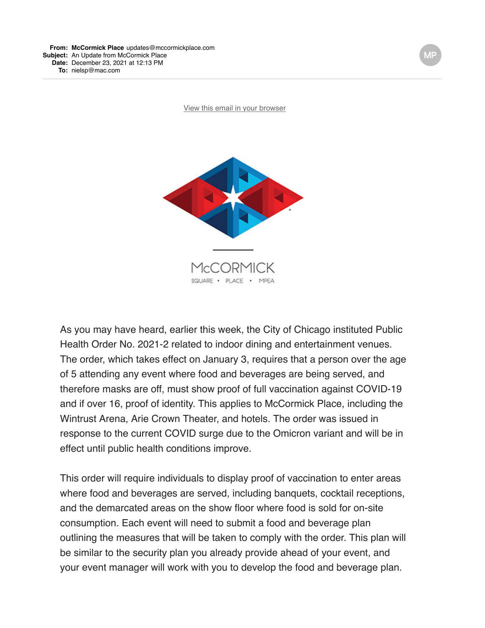[View this email in your browser](https://mailchi.mp/e2e6477819bf/mccormick-place-fall-update-5713428?e=b37bdcd296)



As you may have heard, earlier this week, the City of Chicago instituted Public Health Order No. 2021-2 related to indoor dining and entertainment venues. The order, which takes effect on January 3, requires that a person over the age of 5 attending any event where food and beverages are being served, and therefore masks are off, must show proof of full vaccination against COVID-19 and if over 16, proof of identity. This applies to McCormick Place, including the Wintrust Arena, Arie Crown Theater, and hotels. The order was issued in response to the current COVID surge due to the Omicron variant and will be in effect until public health conditions improve.

This order will require individuals to display proof of vaccination to enter areas where food and beverages are served, including banquets, cocktail receptions, and the demarcated areas on the show floor where food is sold for on-site consumption. Each event will need to submit a food and beverage plan outlining the measures that will be taken to comply with the order. This plan will be similar to the security plan you already provide ahead of your event, and your event manager will work with you to develop the food and beverage plan.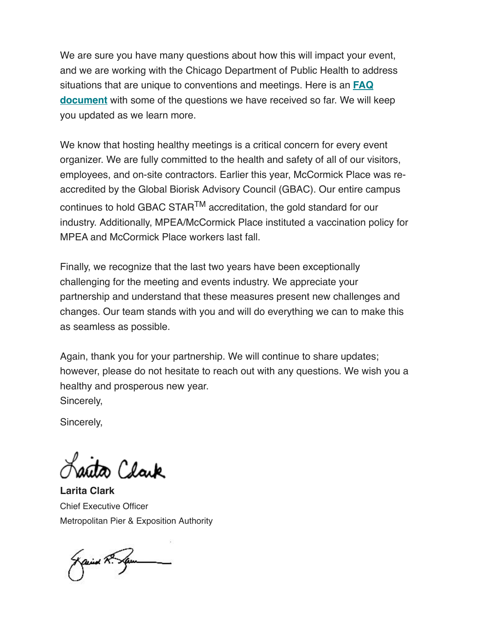We are sure you have many questions about how this will impact your event, and we are working with the Chicago Department of Public Health to address [situations that are unique to conventions and meetings. Here is an](https://mccormickplace.us2.list-manage.com/track/click?u=6fe59bf7bd1430bb0522ffc37&id=8fb4d8ec74&e=b37bdcd296) **FAQ document** with some of the questions we have received so far. We will keep you updated as we learn more.

We know that hosting healthy meetings is a critical concern for every event organizer. We are fully committed to the health and safety of all of our visitors, employees, and on-site contractors. Earlier this year, McCormick Place was reaccredited by the Global Biorisk Advisory Council (GBAC). Our entire campus continues to hold GBAC STARTM accreditation, the gold standard for our industry. Additionally, MPEA/McCormick Place instituted a vaccination policy for MPEA and McCormick Place workers last fall.

Finally, we recognize that the last two years have been exceptionally challenging for the meeting and events industry. We appreciate your partnership and understand that these measures present new challenges and changes. Our team stands with you and will do everything we can to make this as seamless as possible.

Again, thank you for your partnership. We will continue to share updates; however, please do not hesitate to reach out with any questions. We wish you a healthy and prosperous new year. Sincerely,

Sincerely,

rita Clark

**Larita Clark** Chief Executive Officer Metropolitan Pier & Exposition Authority

Kaind R. Spe